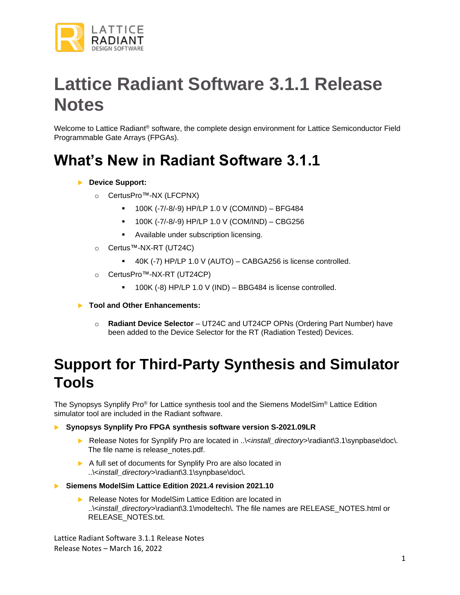

# **Lattice Radiant Software 3.1.1 Release Notes**

Welcome to Lattice Radiant<sup>®</sup> software, the complete design environment for Lattice Semiconductor Field Programmable Gate Arrays (FPGAs).

### **What's New in Radiant Software 3.1.1**

#### **Device Support:**

- o CertusPro™-NX (LFCPNX)
	- 100K (-7/-8/-9) HP/LP 1.0 V (COM/IND) BFG484
	- 100K (-7/-8/-9) HP/LP 1.0 V (COM/IND) CBG256
	- Available under subscription licensing.
- o Certus™-NX-RT (UT24C)
	- 40K (-7) HP/LP 1.0 V (AUTO) CABGA256 is license controlled.
- o CertusPro™-NX-RT (UT24CP)
	- $\blacksquare$  100K (-8) HP/LP 1.0 V (IND) BBG484 is license controlled.
- **Tool and Other Enhancements:**
	- o **Radiant Device Selector**  UT24C and UT24CP OPNs (Ordering Part Number) have been added to the Device Selector for the RT (Radiation Tested) Devices.

### **Support for Third-Party Synthesis and Simulator Tools**

The Synopsys Synplify Pro® for Lattice synthesis tool and the Siemens ModelSim® Lattice Edition simulator tool are included in the Radiant software.

**Synopsys Synplify Pro FPGA synthesis software version S-2021.09LR**

- **EXELGASE Notes for Synplify Pro are located in ..**\<install\_directory>\radiant\3.1\synpbase\doc\. The file name is release notes.pdf.
- A full set of documents for Synplify Pro are also located in ..\<install\_directory>\radiant\3.1\synpbase\doc\.
- **Siemens ModelSim Lattice Edition 2021.4 revision 2021.10**
	- Release Notes for ModelSim Lattice Edition are located in ..\<*install\_directory*>\radiant\3.1\modeltech\. The file names are RELEASE\_NOTES.html or RELEASE\_NOTES.txt.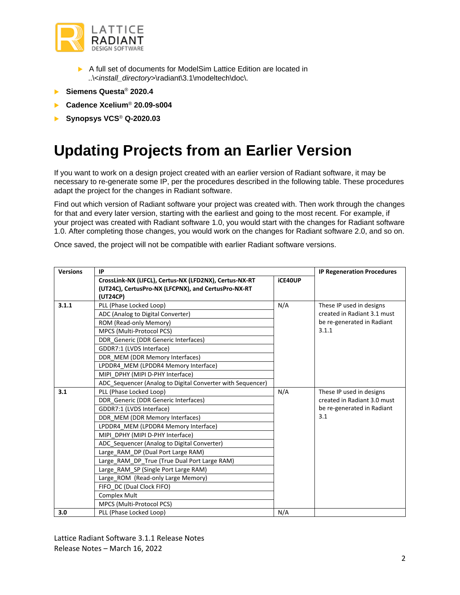

- A full set of documents for ModelSim Lattice Edition are located in ..\<*install\_directory*>\radiant\3.1\modeltech\doc\.
- **Siemens Questa**® **2020.4**
- **Cadence Xcelium**® **20.09-s004**
- **Synopsys VCS**® **Q-2020.03**

### **Updating Projects from an Earlier Version**

If you want to work on a design project created with an earlier version of Radiant software, it may be necessary to re-generate some IP, per the procedures described in the following table. These procedures adapt the project for the changes in Radiant software.

Find out which version of Radiant software your project was created with. Then work through the changes for that and every later version, starting with the earliest and going to the most recent. For example, if your project was created with Radiant software 1.0, you would start with the changes for Radiant software 1.0. After completing those changes, you would work on the changes for Radiant software 2.0, and so on.

Once saved, the project will not be compatible with earlier Radiant software versions.

| <b>Versions</b> | IP                                                                                                                        |         | <b>IP Regeneration Procedures</b>                                                              |
|-----------------|---------------------------------------------------------------------------------------------------------------------------|---------|------------------------------------------------------------------------------------------------|
|                 | CrossLink-NX (LIFCL), Certus-NX (LFD2NX), Certus-NX-RT<br>(UT24C), CertusPro-NX (LFCPNX), and CertusPro-NX-RT<br>(UT24CP) | iCE40UP |                                                                                                |
| 3.1.1           | PLL (Phase Locked Loop)                                                                                                   | N/A     | These IP used in designs<br>created in Radiant 3.1 must<br>be re-generated in Radiant<br>3.1.1 |
|                 | ADC (Analog to Digital Converter)                                                                                         |         |                                                                                                |
|                 | ROM (Read-only Memory)                                                                                                    |         |                                                                                                |
|                 | MPCS (Multi-Protocol PCS)                                                                                                 |         |                                                                                                |
|                 | DDR Generic (DDR Generic Interfaces)                                                                                      |         |                                                                                                |
|                 | GDDR7:1 (LVDS Interface)                                                                                                  |         |                                                                                                |
|                 | DDR MEM (DDR Memory Interfaces)                                                                                           |         |                                                                                                |
|                 | LPDDR4 MEM (LPDDR4 Memory Interface)                                                                                      |         |                                                                                                |
|                 | MIPI DPHY (MIPI D-PHY Interface)                                                                                          |         |                                                                                                |
|                 | ADC Sequencer (Analog to Digital Converter with Sequencer)                                                                |         |                                                                                                |
| 3.1             | PLL (Phase Locked Loop)                                                                                                   | N/A     | These IP used in designs<br>created in Radiant 3.0 must<br>be re-generated in Radiant<br>3.1   |
|                 | DDR Generic (DDR Generic Interfaces)                                                                                      |         |                                                                                                |
|                 | GDDR7:1 (LVDS Interface)                                                                                                  |         |                                                                                                |
|                 | DDR MEM (DDR Memory Interfaces)                                                                                           |         |                                                                                                |
|                 | LPDDR4 MEM (LPDDR4 Memory Interface)                                                                                      |         |                                                                                                |
|                 | MIPI DPHY (MIPI D-PHY Interface)                                                                                          |         |                                                                                                |
|                 | ADC Sequencer (Analog to Digital Converter)                                                                               |         |                                                                                                |
|                 | Large RAM DP (Dual Port Large RAM)                                                                                        |         |                                                                                                |
|                 | Large RAM DP True (True Dual Port Large RAM)                                                                              |         |                                                                                                |
|                 | Large RAM SP (Single Port Large RAM)                                                                                      |         |                                                                                                |
|                 | Large ROM (Read-only Large Memory)                                                                                        |         |                                                                                                |
|                 | FIFO DC (Dual Clock FIFO)                                                                                                 |         |                                                                                                |
|                 | <b>Complex Mult</b>                                                                                                       |         |                                                                                                |
|                 | MPCS (Multi-Protocol PCS)                                                                                                 |         |                                                                                                |
| 3.0             | PLL (Phase Locked Loop)                                                                                                   | N/A     |                                                                                                |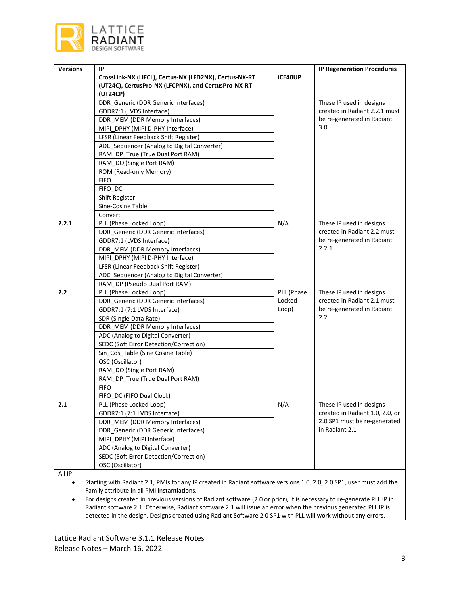

| <b>Versions</b> | IP                                                                                                                        |                | <b>IP Regeneration Procedures</b> |
|-----------------|---------------------------------------------------------------------------------------------------------------------------|----------------|-----------------------------------|
|                 | CrossLink-NX (LIFCL), Certus-NX (LFD2NX), Certus-NX-RT<br>(UT24C), CertusPro-NX (LFCPNX), and CertusPro-NX-RT<br>(UT24CP) | <b>iCE40UP</b> |                                   |
|                 | DDR_Generic (DDR Generic Interfaces)                                                                                      |                | These IP used in designs          |
|                 | GDDR7:1 (LVDS Interface)                                                                                                  |                | created in Radiant 2.2.1 must     |
|                 | DDR_MEM (DDR Memory Interfaces)                                                                                           |                | be re-generated in Radiant        |
|                 | MIPI_DPHY (MIPI D-PHY Interface)                                                                                          |                | 3.0                               |
|                 | LFSR (Linear Feedback Shift Register)                                                                                     |                |                                   |
|                 | ADC_Sequencer (Analog to Digital Converter)                                                                               |                |                                   |
|                 | RAM_DP_True (True Dual Port RAM)                                                                                          |                |                                   |
|                 | RAM_DQ (Single Port RAM)                                                                                                  |                |                                   |
|                 | ROM (Read-only Memory)                                                                                                    |                |                                   |
|                 | <b>FIFO</b>                                                                                                               |                |                                   |
|                 | FIFO DC                                                                                                                   |                |                                   |
|                 | Shift Register                                                                                                            |                |                                   |
|                 | Sine-Cosine Table                                                                                                         |                |                                   |
|                 | Convert                                                                                                                   |                |                                   |
| 2.2.1           | PLL (Phase Locked Loop)                                                                                                   | N/A            | These IP used in designs          |
|                 | DDR_Generic (DDR Generic Interfaces)                                                                                      |                | created in Radiant 2.2 must       |
|                 | GDDR7:1 (LVDS Interface)                                                                                                  |                | be re-generated in Radiant        |
|                 | DDR_MEM (DDR Memory Interfaces)                                                                                           |                | 2.2.1                             |
|                 | MIPI_DPHY (MIPI D-PHY Interface)                                                                                          |                |                                   |
|                 | LFSR (Linear Feedback Shift Register)                                                                                     |                |                                   |
|                 | ADC Sequencer (Analog to Digital Converter)                                                                               |                |                                   |
|                 | RAM DP (Pseudo Dual Port RAM)                                                                                             |                |                                   |
| 2.2             | PLL (Phase Locked Loop)                                                                                                   | PLL (Phase     | These IP used in designs          |
|                 | DDR_Generic (DDR Generic Interfaces)                                                                                      | Locked         | created in Radiant 2.1 must       |
|                 | GDDR7:1 (7:1 LVDS Interface)                                                                                              | Loop)          | be re-generated in Radiant<br>2.2 |
|                 | SDR (Single Data Rate)                                                                                                    |                |                                   |
|                 | DDR_MEM (DDR Memory Interfaces)                                                                                           |                |                                   |
|                 | ADC (Analog to Digital Converter)                                                                                         |                |                                   |
|                 | SEDC (Soft Error Detection/Correction)                                                                                    |                |                                   |
|                 | Sin_Cos_Table (Sine Cosine Table)                                                                                         |                |                                   |
|                 | OSC (Oscillator)                                                                                                          |                |                                   |
|                 | RAM_DQ (Single Port RAM)<br>RAM DP True (True Dual Port RAM)                                                              |                |                                   |
|                 |                                                                                                                           |                |                                   |
|                 | <b>FIFO</b>                                                                                                               |                |                                   |
| 2.1             | FIFO_DC (FIFO Dual Clock)<br>PLL (Phase Locked Loop)                                                                      | N/A            | These IP used in designs          |
|                 | GDDR7:1 (7:1 LVDS Interface)                                                                                              |                | created in Radiant 1.0, 2.0, or   |
|                 | DDR MEM (DDR Memory Interfaces)                                                                                           |                | 2.0 SP1 must be re-generated      |
|                 | DDR Generic (DDR Generic Interfaces)                                                                                      |                | in Radiant 2.1                    |
|                 | MIPI_DPHY (MIPI Interface)                                                                                                |                |                                   |
|                 | ADC (Analog to Digital Converter)                                                                                         |                |                                   |
|                 | SEDC (Soft Error Detection/Correction)                                                                                    |                |                                   |
|                 | OSC (Oscillator)                                                                                                          |                |                                   |
| 511.15          |                                                                                                                           |                |                                   |

All IP:

• Starting with Radiant 2.1, PMIs for any IP created in Radiant software versions 1.0, 2.0, 2.0 SP1, user must add the Family attribute in all PMI instantiations.

• For designs created in previous versions of Radiant software (2.0 or prior), it is necessary to re-generate PLL IP in Radiant software 2.1. Otherwise, Radiant software 2.1 will issue an error when the previous generated PLL IP is detected in the design. Designs created using Radiant Software 2.0 SP1 with PLL will work without any errors.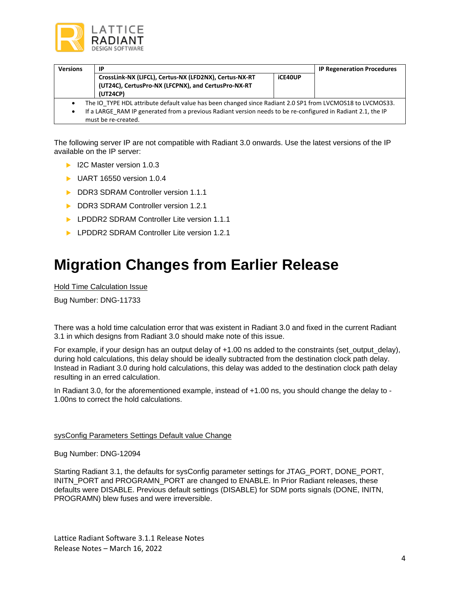

| <b>Versions</b>                                                                                           | ΙP                                                                                                           |         | <b>IP Regeneration Procedures</b> |  |  |
|-----------------------------------------------------------------------------------------------------------|--------------------------------------------------------------------------------------------------------------|---------|-----------------------------------|--|--|
|                                                                                                           | CrossLink-NX (LIFCL), Certus-NX (LFD2NX), Certus-NX-RT                                                       | iCE40UP |                                   |  |  |
|                                                                                                           | (UT24C), CertusPro-NX (LFCPNX), and CertusPro-NX-RT                                                          |         |                                   |  |  |
|                                                                                                           | (UT24CP)                                                                                                     |         |                                   |  |  |
| The IO TYPE HDL attribute default value has been changed since Radiant 2.0 SP1 from LVCMOS18 to LVCMOS33. |                                                                                                              |         |                                   |  |  |
| ٠                                                                                                         | If a LARGE RAM IP generated from a previous Radiant version needs to be re-configured in Radiant 2.1, the IP |         |                                   |  |  |
|                                                                                                           | must be re-created.                                                                                          |         |                                   |  |  |

The following server IP are not compatible with Radiant 3.0 onwards. Use the latest versions of the IP available on the IP server:

- ▶ I2C Master version 1.0.3
- ▶ UART 16550 version 1.0.4
- DDR3 SDRAM Controller version 1.1.1
- DDR3 SDRAM Controller version 1.2.1
- **LPDDR2 SDRAM Controller Lite version 1.1.1**
- **LPDDR2 SDRAM Controller Lite version 1.2.1**

### **Migration Changes from Earlier Release**

Hold Time Calculation Issue

Bug Number: DNG-11733

There was a hold time calculation error that was existent in Radiant 3.0 and fixed in the current Radiant 3.1 in which designs from Radiant 3.0 should make note of this issue.

For example, if your design has an output delay of +1.00 ns added to the constraints (set\_output\_delay), during hold calculations, this delay should be ideally subtracted from the destination clock path delay. Instead in Radiant 3.0 during hold calculations, this delay was added to the destination clock path delay resulting in an erred calculation.

In Radiant 3.0, for the aforementioned example, instead of +1.00 ns, you should change the delay to - 1.00ns to correct the hold calculations.

#### sysConfig Parameters Settings Default value Change

Bug Number: DNG-12094

Starting Radiant 3.1, the defaults for sysConfig parameter settings for JTAG\_PORT, DONE\_PORT, INITN\_PORT and PROGRAMN\_PORT are changed to ENABLE. In Prior Radiant releases, these defaults were DISABLE. Previous default settings (DISABLE) for SDM ports signals (DONE, INITN, PROGRAMN) blew fuses and were irreversible.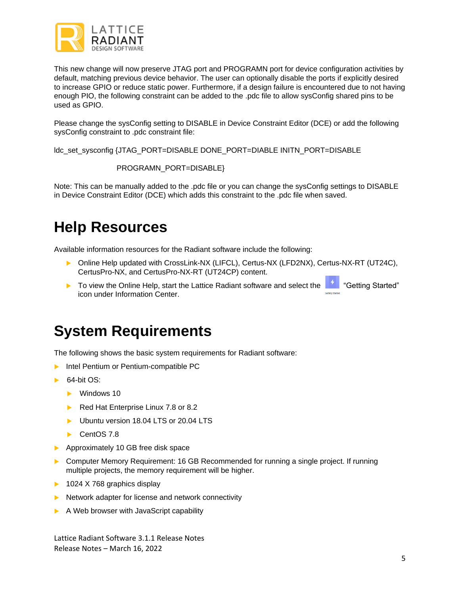

This new change will now preserve JTAG port and PROGRAMN port for device configuration activities by default, matching previous device behavior. The user can optionally disable the ports if explicitly desired to increase GPIO or reduce static power. Furthermore, if a design failure is encountered due to not having enough PIO, the following constraint can be added to the .pdc file to allow sysConfig shared pins to be used as GPIO.

Please change the sysConfig setting to DISABLE in Device Constraint Editor (DCE) or add the following sysConfig constraint to .pdc constraint file:

ldc\_set\_sysconfig {JTAG\_PORT=DISABLE DONE\_PORT=DIABLE INITN\_PORT=DISABLE

```
 PROGRAMN_PORT=DISABLE}
```
Note: This can be manually added to the .pdc file or you can change the sysConfig settings to DISABLE in Device Constraint Editor (DCE) which adds this constraint to the .pdc file when saved.

## **Help Resources**

Available information resources for the Radiant software include the following:

- ▶ Online Help updated with CrossLink-NX (LIFCL), Certus-NX (LFD2NX), Certus-NX-RT (UT24C), CertusPro-NX, and CertusPro-NX-RT (UT24CP) content.
- ▶ To view the Online Help, start the Lattice Radiant software and select the <sup>14</sup> "Getting Started" icon under Information Center.

### **System Requirements**

The following shows the basic system requirements for Radiant software:

- **Intel Pentium or Pentium-compatible PC**
- $\triangleright$  64-bit OS:
	- **Windows 10**
	- Red Hat Enterprise Linux 7.8 or 8.2
	- Ubuntu version 18.04 LTS or 20.04 LTS
	- CentOS 7.8
- Approximately 10 GB free disk space
- Computer Memory Requirement: 16 GB Recommended for running a single project. If running multiple projects, the memory requirement will be higher.
- $\blacktriangleright$  1024 X 768 graphics display
- $\blacktriangleright$  Network adapter for license and network connectivity
- $\blacktriangleright$  A Web browser with JavaScript capability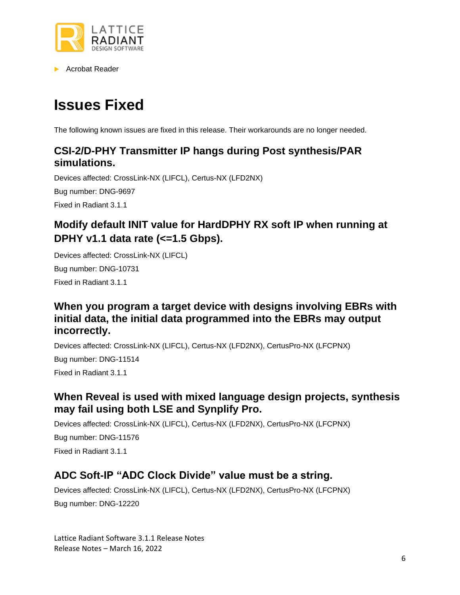

▶ Acrobat Reader

## **Issues Fixed**

The following known issues are fixed in this release. Their workarounds are no longer needed.

#### **CSI-2/D-PHY Transmitter IP hangs during Post synthesis/PAR simulations.**

Devices affected: CrossLink-NX (LIFCL), Certus-NX (LFD2NX)

Bug number: DNG-9697

Fixed in Radiant 3.1.1

### **Modify default INIT value for HardDPHY RX soft IP when running at DPHY v1.1 data rate (<=1.5 Gbps).**

Devices affected: CrossLink-NX (LIFCL) Bug number: DNG-10731 Fixed in Radiant 3.1.1

#### **When you program a target device with designs involving EBRs with initial data, the initial data programmed into the EBRs may output incorrectly.**

Devices affected: CrossLink-NX (LIFCL), Certus-NX (LFD2NX), CertusPro-NX (LFCPNX)

Bug number: DNG-11514 Fixed in Radiant 3.1.1

#### **When Reveal is used with mixed language design projects, synthesis may fail using both LSE and Synplify Pro.**

Devices affected: CrossLink-NX (LIFCL), Certus-NX (LFD2NX), CertusPro-NX (LFCPNX) Bug number: DNG-11576 Fixed in Radiant 3.1.1

### **ADC Soft-IP "ADC Clock Divide" value must be a string.**

Devices affected: CrossLink-NX (LIFCL), Certus-NX (LFD2NX), CertusPro-NX (LFCPNX) Bug number: DNG-12220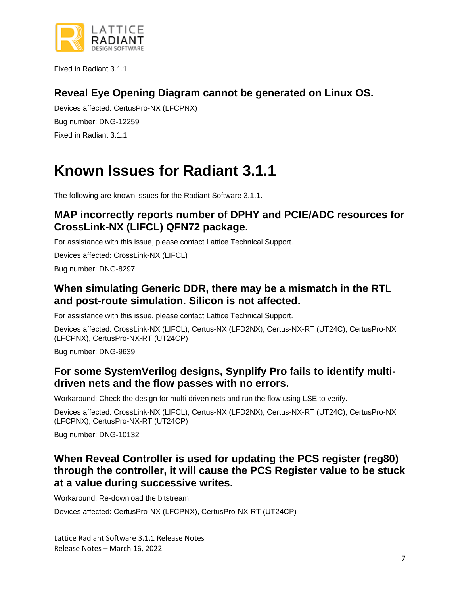

Fixed in Radiant 3.1.1

#### **Reveal Eye Opening Diagram cannot be generated on Linux OS.**

Devices affected: CertusPro-NX (LFCPNX) Bug number: DNG-12259 Fixed in Radiant 3.1.1

### **Known Issues for Radiant 3.1.1**

The following are known issues for the Radiant Software 3.1.1.

#### **MAP incorrectly reports number of DPHY and PCIE/ADC resources for CrossLink-NX (LIFCL) QFN72 package.**

For assistance with this issue, please contact Lattice Technical Support.

Devices affected: CrossLink-NX (LIFCL)

Bug number: DNG-8297

#### **When simulating Generic DDR, there may be a mismatch in the RTL and post-route simulation. Silicon is not affected.**

For assistance with this issue, please contact Lattice Technical Support.

Devices affected: CrossLink-NX (LIFCL), Certus-NX (LFD2NX), Certus-NX-RT (UT24C), CertusPro-NX (LFCPNX), CertusPro-NX-RT (UT24CP)

Bug number: DNG-9639

#### **For some SystemVerilog designs, Synplify Pro fails to identify multidriven nets and the flow passes with no errors.**

Workaround: Check the design for multi-driven nets and run the flow using LSE to verify.

Devices affected: CrossLink-NX (LIFCL), Certus-NX (LFD2NX), Certus-NX-RT (UT24C), CertusPro-NX (LFCPNX), CertusPro-NX-RT (UT24CP)

Bug number: DNG-10132

#### **When Reveal Controller is used for updating the PCS register (reg80) through the controller, it will cause the PCS Register value to be stuck at a value during successive writes.**

Workaround: Re-download the bitstream.

Devices affected: CertusPro-NX (LFCPNX), CertusPro-NX-RT (UT24CP)